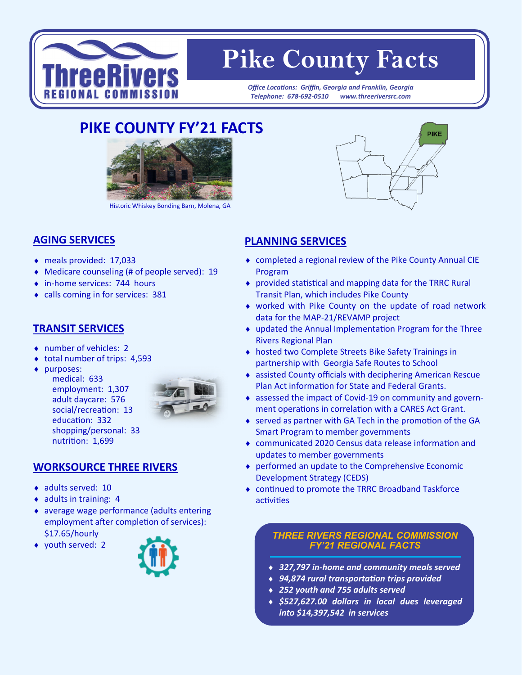

# **Pike County Facts**

*Office Locations: Griffin, Georgia and Franklin, Georgia Telephone: 678-692-0510 www.threeriversrc.com*

## **PIKE COUNTY FY'21 FACTS**



Historic Whiskey Bonding Barn, Molena, GA

#### **AGING SERVICES**

- meals provided: 17,033
- Medicare counseling (# of people served): 19
- ◆ in-home services: 744 hours
- calls coming in for services: 381

#### **TRANSIT SERVICES**

- number of vehicles: 2
- ◆ total number of trips: 4,593
- ◆ purposes:

medical: 633 employment: 1,307 adult daycare: 576 social/recreation: 13 education: 332 shopping/personal: 33 nutrition: 1,699



#### **WORKSOURCE THREE RIVERS**

- ◆ adults served: 10
- $\bullet$  adults in training: 4
- average wage performance (adults entering employment after completion of services): \$17.65/hourly
- ◆ youth served: 2





### **PLANNING SERVICES**

- completed a regional review of the Pike County Annual CIE Program
- provided statistical and mapping data for the TRRC Rural Transit Plan, which includes Pike County
- worked with Pike County on the update of road network data for the MAP-21/REVAMP project
- updated the Annual Implementation Program for the Three Rivers Regional Plan
- hosted two Complete Streets Bike Safety Trainings in partnership with Georgia Safe Routes to School
- assisted County officials with deciphering American Rescue Plan Act information for State and Federal Grants.
- assessed the impact of Covid-19 on community and government operations in correlation with a CARES Act Grant.
- served as partner with GA Tech in the promotion of the GA Smart Program to member governments
- communicated 2020 Census data release information and updates to member governments
- performed an update to the Comprehensive Economic Development Strategy (CEDS)
- continued to promote the TRRC Broadband Taskforce activities

#### *THREE RIVERS REGIONAL COMMISSION FY'21 REGIONAL FACTS*

- *327,797 in-home and community meals served*
- *94,874 rural transportation trips provided*
- *252 youth and 755 adults served*
- *\$527,627.00 dollars in local dues leveraged into \$14,397,542 in services*